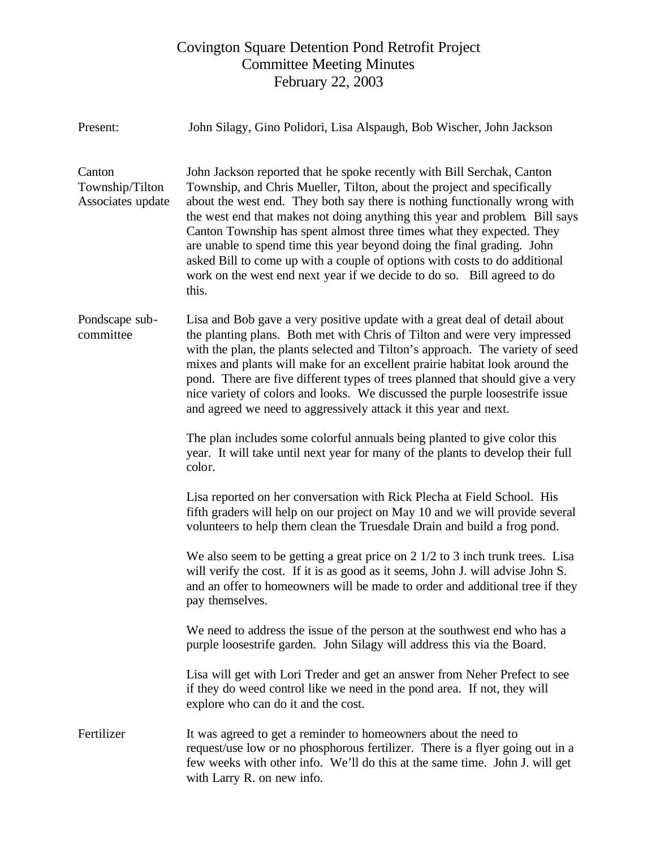## Covington Square Detention Pond Retrofit Project Committee Meeting Minutes February 22, 2003

| Present:                                       | John Silagy, Gino Polidori, Lisa Alspaugh, Bob Wischer, John Jackson                                                                                                                                                                                                                                                                                                                                                                                                                                                                                                                                                                 |
|------------------------------------------------|--------------------------------------------------------------------------------------------------------------------------------------------------------------------------------------------------------------------------------------------------------------------------------------------------------------------------------------------------------------------------------------------------------------------------------------------------------------------------------------------------------------------------------------------------------------------------------------------------------------------------------------|
| Canton<br>Township/Tilton<br>Associates update | John Jackson reported that he spoke recently with Bill Serchak, Canton<br>Township, and Chris Mueller, Tilton, about the project and specifically<br>about the west end. They both say there is nothing functionally wrong with<br>the west end that makes not doing anything this year and problem. Bill says<br>Canton Township has spent almost three times what they expected. They<br>are unable to spend time this year beyond doing the final grading. John<br>asked Bill to come up with a couple of options with costs to do additional<br>work on the west end next year if we decide to do so. Bill agreed to do<br>this. |
| Pondscape sub-<br>committee                    | Lisa and Bob gave a very positive update with a great deal of detail about<br>the planting plans. Both met with Chris of Tilton and were very impressed<br>with the plan, the plants selected and Tilton's approach. The variety of seed<br>mixes and plants will make for an excellent prairie habitat look around the<br>pond. There are five different types of trees planned that should give a very<br>nice variety of colors and looks. We discussed the purple loosestrife issue<br>and agreed we need to aggressively attack it this year and next.                                                                          |
|                                                | The plan includes some colorful annuals being planted to give color this<br>year. It will take until next year for many of the plants to develop their full<br>color.                                                                                                                                                                                                                                                                                                                                                                                                                                                                |
|                                                | Lisa reported on her conversation with Rick Plecha at Field School. His<br>fifth graders will help on our project on May 10 and we will provide several<br>volunteers to help them clean the Truesdale Drain and build a frog pond.                                                                                                                                                                                                                                                                                                                                                                                                  |
|                                                | We also seem to be getting a great price on $2 \frac{1}{2}$ to $3$ inch trunk trees. Lisa<br>will verify the cost. If it is as good as it seems, John J. will advise John S.<br>and an offer to homeowners will be made to order and additional tree if they<br>pay themselves.                                                                                                                                                                                                                                                                                                                                                      |
|                                                | We need to address the issue of the person at the southwest end who has a<br>purple loosestrife garden. John Silagy will address this via the Board.                                                                                                                                                                                                                                                                                                                                                                                                                                                                                 |
|                                                | Lisa will get with Lori Treder and get an answer from Neher Prefect to see<br>if they do weed control like we need in the pond area. If not, they will<br>explore who can do it and the cost.                                                                                                                                                                                                                                                                                                                                                                                                                                        |
| Fertilizer                                     | It was agreed to get a reminder to homeowners about the need to<br>request/use low or no phosphorous fertilizer. There is a flyer going out in a<br>few weeks with other info. We'll do this at the same time. John J. will get<br>with Larry R. on new info.                                                                                                                                                                                                                                                                                                                                                                        |